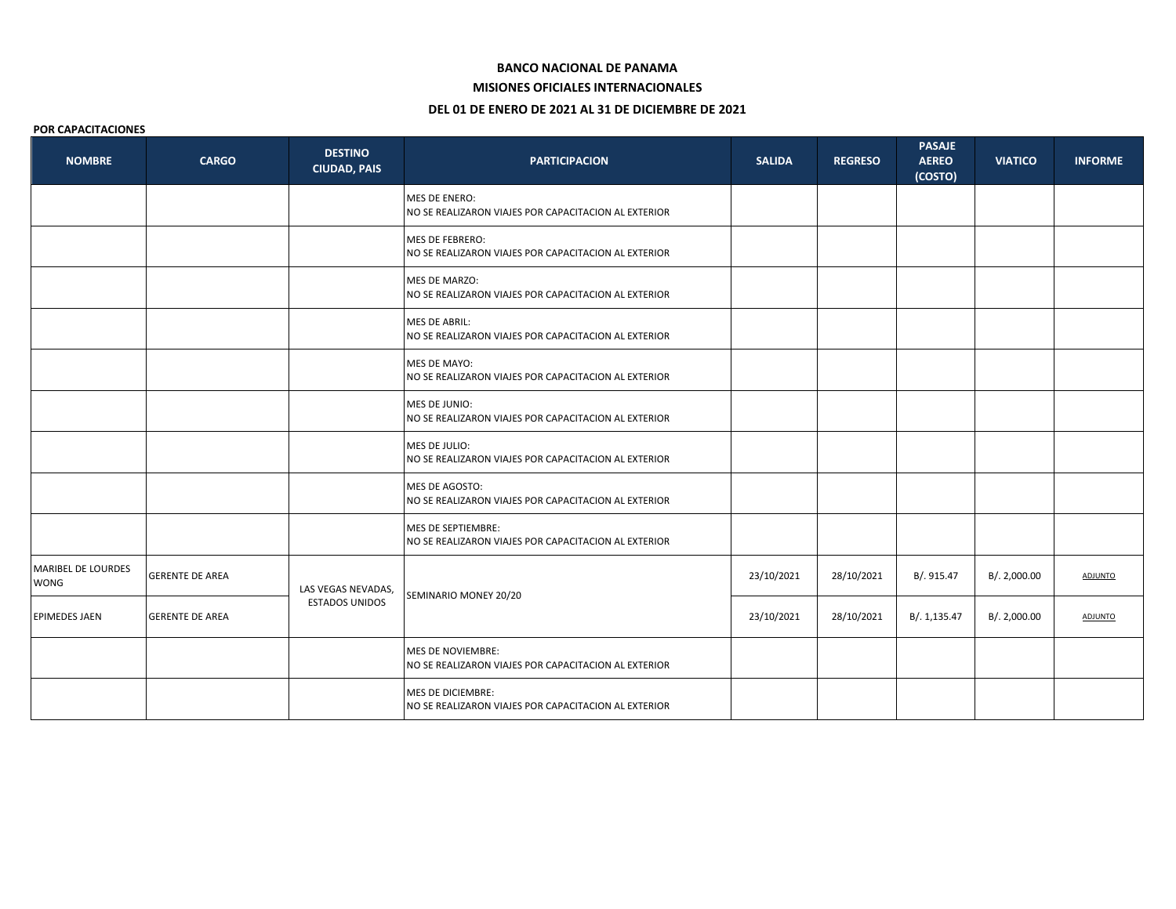#### **BANCO NACIONAL DE PANAMA**

## **MISIONES OFICIALES INTERNACIONALES**

# **DEL 01 DE ENERO DE 2021 AL 31 DE DICIEMBRE DE 2021**

#### **POR CAPACITACIONES**

| <b>NOMBRE</b>                     | <b>CARGO</b>           | <b>DESTINO</b><br><b>CIUDAD, PAIS</b>       | <b>PARTICIPACION</b>                                                             | <b>SALIDA</b> | <b>REGRESO</b> | <b>PASAJE</b><br><b>AEREO</b><br>(COSTO) | <b>VIATICO</b> | <b>INFORME</b> |
|-----------------------------------|------------------------|---------------------------------------------|----------------------------------------------------------------------------------|---------------|----------------|------------------------------------------|----------------|----------------|
|                                   |                        |                                             | <b>MES DE ENERO:</b><br>NO SE REALIZARON VIAJES POR CAPACITACION AL EXTERIOR     |               |                |                                          |                |                |
|                                   |                        |                                             | <b>MES DE FEBRERO:</b><br>NO SE REALIZARON VIAJES POR CAPACITACION AL EXTERIOR   |               |                |                                          |                |                |
|                                   |                        |                                             | MES DE MARZO:<br>NO SE REALIZARON VIAJES POR CAPACITACION AL EXTERIOR            |               |                |                                          |                |                |
|                                   |                        |                                             | MES DE ABRIL:<br>NO SE REALIZARON VIAJES POR CAPACITACION AL EXTERIOR            |               |                |                                          |                |                |
|                                   |                        |                                             | MES DE MAYO:<br>NO SE REALIZARON VIAJES POR CAPACITACION AL EXTERIOR             |               |                |                                          |                |                |
|                                   |                        |                                             | MES DE JUNIO:<br>NO SE REALIZARON VIAJES POR CAPACITACION AL EXTERIOR            |               |                |                                          |                |                |
|                                   |                        |                                             | MES DE JULIO:<br>NO SE REALIZARON VIAJES POR CAPACITACION AL EXTERIOR            |               |                |                                          |                |                |
|                                   |                        |                                             | MES DE AGOSTO:<br>NO SE REALIZARON VIAJES POR CAPACITACION AL EXTERIOR           |               |                |                                          |                |                |
|                                   |                        |                                             | MES DE SEPTIEMBRE:<br>NO SE REALIZARON VIAJES POR CAPACITACION AL EXTERIOR       |               |                |                                          |                |                |
| MARIBEL DE LOURDES<br><b>WONG</b> | <b>GERENTE DE AREA</b> | LAS VEGAS NEVADAS,<br><b>ESTADOS UNIDOS</b> | SEMINARIO MONEY 20/20                                                            | 23/10/2021    | 28/10/2021     | B/. 915.47                               | B/. 2,000.00   | <b>ADJUNTO</b> |
| <b>EPIMEDES JAEN</b>              | <b>GERENTE DE AREA</b> |                                             |                                                                                  | 23/10/2021    | 28/10/2021     | B/. 1,135.47                             | B/. 2,000.00   | <b>ADJUNTO</b> |
|                                   |                        |                                             | <b>MES DE NOVIEMBRE:</b><br>NO SE REALIZARON VIAJES POR CAPACITACION AL EXTERIOR |               |                |                                          |                |                |
|                                   |                        |                                             | <b>MES DE DICIEMBRE:</b><br>NO SE REALIZARON VIAJES POR CAPACITACION AL EXTERIOR |               |                |                                          |                |                |